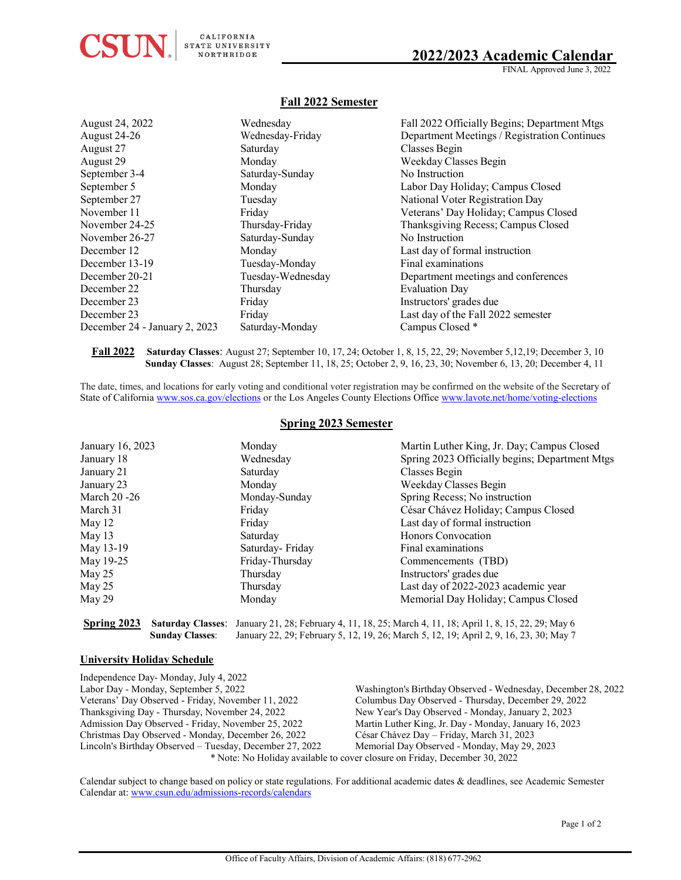# **2022/2023 Academic Calendar**

## **Fall 2022 Semester**

|                   | Fall 2022 Officially Begins; Department Mtgs |
|-------------------|----------------------------------------------|
| Wednesday-Friday  | Department Meetings / Registration Continues |
| Saturday          | Classes Begin                                |
| Monday            | Weekday Classes Begin                        |
| Saturday-Sunday   | No Instruction                               |
| Monday            | Labor Day Holiday; Campus Closed             |
| Tuesday           | National Voter Registration Day              |
| Friday            | Veterans' Day Holiday; Campus Closed         |
| Thursday-Friday   | Thanksgiving Recess; Campus Closed           |
| Saturday-Sunday   | No Instruction                               |
| Monday            | Last day of formal instruction               |
| Tuesday-Monday    | Final examinations                           |
| Tuesday-Wednesday | Department meetings and conferences          |
| Thursday          | <b>Evaluation Day</b>                        |
| Friday            | Instructors' grades due                      |
| Friday            | Last day of the Fall 2022 semester           |
| Saturday-Monday   | Campus Closed *                              |
|                   | Wednesday                                    |

**Fall 2022 Saturday Classes**: August 27; September 10, 17, 24; October 1, 8, 15, 22, 29; November 5,12,19; December 3, 10 **Sunday Classes**: August 28; September 11, 18, 25; October 2, 9, 16, 23, 30; November 6, 13, 20; December 4, 11

The date, times, and locations for early voting and conditional voter registration may be confirmed on the website of the Secretary of State of Californi[a www.sos.ca.gov/elections](http://www.sos.ca.gov/elections) or the Los Angeles County Elections Office [www.lavote.net/home/voting-elections](http://www.lavote.net/home/voting-elections)

## **Spring 2023 Semester**

| January 16, 2023 | Monday          | Martin Luther King, Jr. Day; Campus Closed                                                                      |
|------------------|-----------------|-----------------------------------------------------------------------------------------------------------------|
| January 18       | Wednesday       | Spring 2023 Officially begins; Department Mtgs                                                                  |
| January 21       | Saturday        | Classes Begin                                                                                                   |
| January 23       | Monday          | Weekday Classes Begin                                                                                           |
| March 20 -26     | Monday-Sunday   | Spring Recess; No instruction                                                                                   |
| March 31         | Friday          | César Chávez Holiday; Campus Closed                                                                             |
| May 12           | Friday          | Last day of formal instruction                                                                                  |
| May 13           | Saturday        | Honors Convocation                                                                                              |
| May 13-19        | Saturday-Friday | Final examinations                                                                                              |
| May 19-25        | Friday-Thursday | Commencements (TBD)                                                                                             |
| May 25           | Thursday        | Instructors' grades due                                                                                         |
| May 25           | Thursday        | Last day of 2022-2023 academic year                                                                             |
| May 29           | Monday          | Memorial Day Holiday; Campus Closed                                                                             |
|                  |                 |                                                                                                                 |
| Spring 2023      |                 | <b>Saturday Classes:</b> January 21, 28; February 4, 11, 18, 25; March 4, 11, 18; April 1, 8, 15, 22, 29; May 6 |

**University Holiday Schedule**

 $\textbf{CSUN}_{\scriptscriptstyle\rm{s}}\vert\,\textsuperscript{cailifORNIA}\over \textsuperscript{NaIIFURINIRIGE}\over \textsuperscript{NaIIFURINIGE}}$ 

| Independence Day-Monday, July 4, 2022                                      |                                                               |  |
|----------------------------------------------------------------------------|---------------------------------------------------------------|--|
| Labor Day - Monday, September 5, 2022                                      | Washington's Birthday Observed - Wednesday, December 28, 2022 |  |
| Veterans' Day Observed - Friday, November 11, 2022                         | Columbus Day Observed - Thursday, December 29, 2022           |  |
| Thanksgiving Day - Thursday, November 24, 2022                             | New Year's Day Observed - Monday, January 2, 2023             |  |
| Admission Day Observed - Friday, November 25, 2022                         | Martin Luther King, Jr. Day - Monday, January 16, 2023        |  |
| Christmas Day Observed - Monday, December 26, 2022                         | César Chávez Day – Friday, March 31, 2023                     |  |
| Lincoln's Birthday Observed – Tuesday, December 27, 2022                   | Memorial Day Observed - Monday, May 29, 2023                  |  |
| * Note: No Holiday available to cover closure on Friday, December 30, 2022 |                                                               |  |

**Sunday Classes**: January 22, 29; February 5, 12, 19, 26; March 5, 12, 19; April 2, 9, 16, 23, 30; May 7

Calendar subject to change based on policy or state regulations. For additional academic dates & deadlines, see Academic Semester Calendar at: [www.csun.edu/admissions-records/calendars](http://www.csun.edu/admissions-records/calendars)